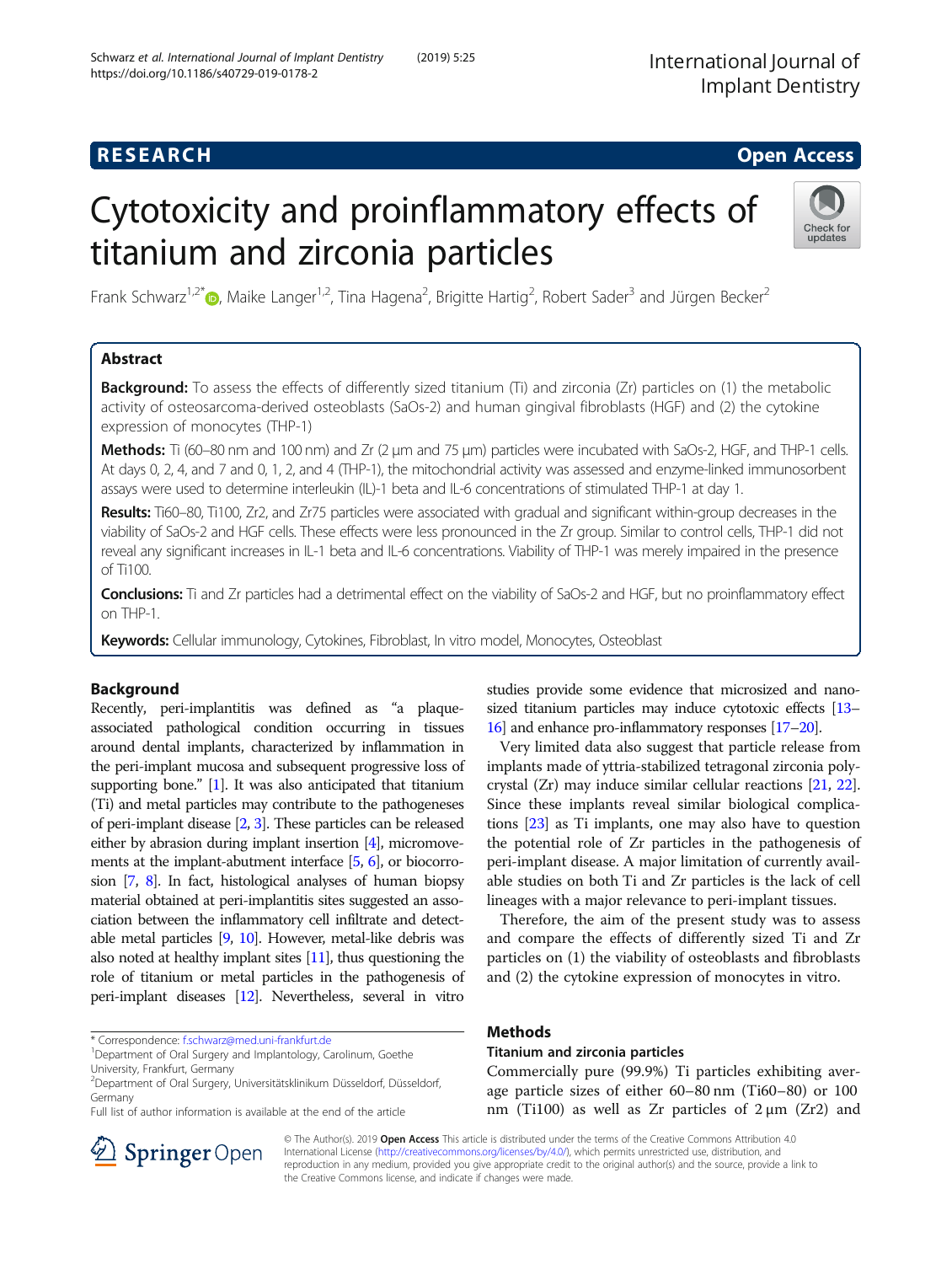International Journal of Implant Dentistry

# **RESEARCH CHE Open Access**

# Cytotoxicity and proinflammatory effects of titanium and zirconia particles



Frank Schwarz<sup>1,2[\\*](http://orcid.org/0000-0002-5873-9903)</sup> (D, Maike Langer<sup>1,2</sup>, Tina Hagena<sup>2</sup>, Brigitte Hartig<sup>2</sup>, Robert Sader<sup>3</sup> and Jürgen Becker<sup>2</sup>

# Abstract

**Background:** To assess the effects of differently sized titanium (Ti) and zirconia (Zr) particles on (1) the metabolic activity of osteosarcoma-derived osteoblasts (SaOs-2) and human gingival fibroblasts (HGF) and (2) the cytokine expression of monocytes (THP-1)

**Methods:** Ti (60–80 nm and 100 nm) and Zr (2 μm and 75 μm) particles were incubated with SaOs-2, HGF, and THP-1 cells. At days 0, 2, 4, and 7 and 0, 1, 2, and 4 (THP-1), the mitochondrial activity was assessed and enzyme-linked immunosorbent assays were used to determine interleukin (IL)-1 beta and IL-6 concentrations of stimulated THP-1 at day 1.

Results: Ti60–80, Ti100, Zr2, and Zr75 particles were associated with gradual and significant within-group decreases in the viability of SaOs-2 and HGF cells. These effects were less pronounced in the Zr group. Similar to control cells, THP-1 did not reveal any significant increases in IL-1 beta and IL-6 concentrations. Viability of THP-1 was merely impaired in the presence of Ti100.

Conclusions: Ti and Zr particles had a detrimental effect on the viability of SaOs-2 and HGF, but no proinflammatory effect on THP-1.

Keywords: Cellular immunology, Cytokines, Fibroblast, In vitro model, Monocytes, Osteoblast

# Background

Recently, peri-implantitis was defined as "a plaqueassociated pathological condition occurring in tissues around dental implants, characterized by inflammation in the peri-implant mucosa and subsequent progressive loss of supporting bone." [\[1\]](#page-4-0). It was also anticipated that titanium (Ti) and metal particles may contribute to the pathogeneses of peri-implant disease [\[2,](#page-4-0) [3\]](#page-4-0). These particles can be released either by abrasion during implant insertion [[4](#page-4-0)], micromovements at the implant-abutment interface [[5](#page-4-0), [6](#page-4-0)], or biocorrosion [\[7,](#page-4-0) [8\]](#page-4-0). In fact, histological analyses of human biopsy material obtained at peri-implantitis sites suggested an association between the inflammatory cell infiltrate and detectable metal particles [\[9](#page-5-0), [10\]](#page-5-0). However, metal-like debris was also noted at healthy implant sites [\[11\]](#page-5-0), thus questioning the role of titanium or metal particles in the pathogenesis of peri-implant diseases [\[12](#page-5-0)]. Nevertheless, several in vitro

\* Correspondence: [f.schwarz@med.uni-frankfurt.de](mailto:f.schwarz@med.uni-frankfurt.de) <sup>1</sup>

Full list of author information is available at the end of the article



Very limited data also suggest that particle release from implants made of yttria-stabilized tetragonal zirconia polycrystal (Zr) may induce similar cellular reactions [[21](#page-5-0), [22](#page-5-0)]. Since these implants reveal similar biological complications [\[23\]](#page-5-0) as Ti implants, one may also have to question the potential role of Zr particles in the pathogenesis of peri-implant disease. A major limitation of currently available studies on both Ti and Zr particles is the lack of cell lineages with a major relevance to peri-implant tissues.

Therefore, the aim of the present study was to assess and compare the effects of differently sized Ti and Zr particles on (1) the viability of osteoblasts and fibroblasts and (2) the cytokine expression of monocytes in vitro.

# Methods

#### Titanium and zirconia particles

Commercially pure (99.9%) Ti particles exhibiting average particle sizes of either 60–80 nm (Ti60–80) or 100 nm (Ti100) as well as Zr particles of  $2 \mu m$  (Zr2) and



© The Author(s). 2019 Open Access This article is distributed under the terms of the Creative Commons Attribution 4.0 International License ([http://creativecommons.org/licenses/by/4.0/\)](http://creativecommons.org/licenses/by/4.0/), which permits unrestricted use, distribution, and reproduction in any medium, provided you give appropriate credit to the original author(s) and the source, provide a link to the Creative Commons license, and indicate if changes were made.

<sup>&</sup>lt;sup>1</sup>Department of Oral Surgery and Implantology, Carolinum, Goethe University, Frankfurt, Germany

<sup>2</sup> Department of Oral Surgery, Universitätsklinikum Düsseldorf, Düsseldorf, Germany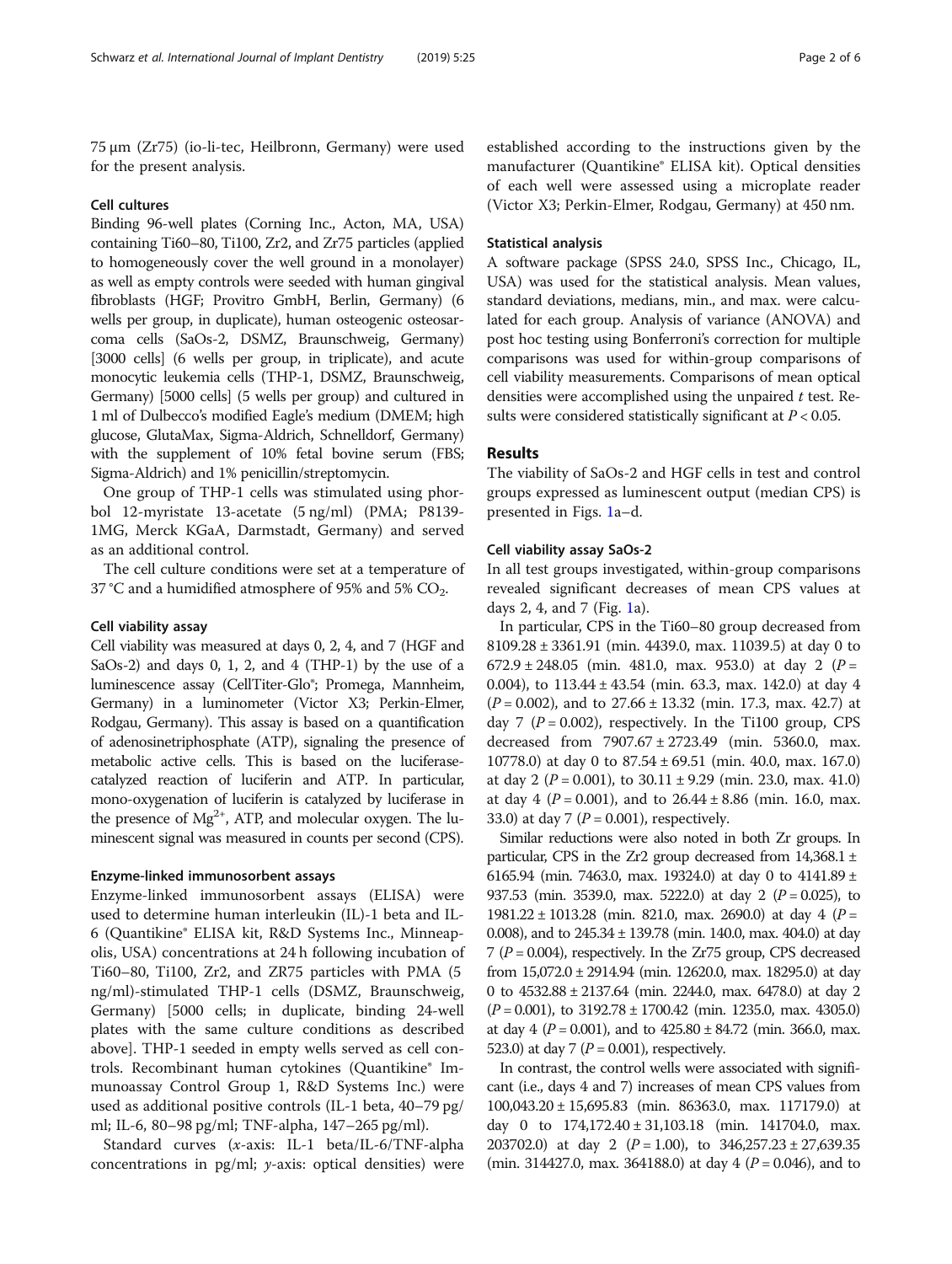75 μm (Zr75) (io-li-tec, Heilbronn, Germany) were used for the present analysis.

#### Cell cultures

Binding 96-well plates (Corning Inc., Acton, MA, USA) containing Ti60–80, Ti100, Zr2, and Zr75 particles (applied to homogeneously cover the well ground in a monolayer) as well as empty controls were seeded with human gingival fibroblasts (HGF; Provitro GmbH, Berlin, Germany) (6 wells per group, in duplicate), human osteogenic osteosarcoma cells (SaOs-2, DSMZ, Braunschweig, Germany) [3000 cells] (6 wells per group, in triplicate), and acute monocytic leukemia cells (THP-1, DSMZ, Braunschweig, Germany) [5000 cells] (5 wells per group) and cultured in 1 ml of Dulbecco's modified Eagle's medium (DMEM; high glucose, GlutaMax, Sigma-Aldrich, Schnelldorf, Germany) with the supplement of 10% fetal bovine serum (FBS; Sigma-Aldrich) and 1% penicillin/streptomycin.

One group of THP-1 cells was stimulated using phorbol 12-myristate 13-acetate (5 ng/ml) (PMA; P8139- 1MG, Merck KGaA, Darmstadt, Germany) and served as an additional control.

The cell culture conditions were set at a temperature of 37 °C and a humidified atmosphere of 95% and 5%  $CO<sub>2</sub>$ .

#### Cell viability assay

Cell viability was measured at days 0, 2, 4, and 7 (HGF and SaOs-2) and days 0, 1, 2, and 4 (THP-1) by the use of a luminescence assay (CellTiter-Glo®; Promega, Mannheim, Germany) in a luminometer (Victor X3; Perkin-Elmer, Rodgau, Germany). This assay is based on a quantification of adenosinetriphosphate (ATP), signaling the presence of metabolic active cells. This is based on the luciferasecatalyzed reaction of luciferin and ATP. In particular, mono-oxygenation of luciferin is catalyzed by luciferase in the presence of  $Mg^{2+}$ , ATP, and molecular oxygen. The luminescent signal was measured in counts per second (CPS).

#### Enzyme-linked immunosorbent assays

Enzyme-linked immunosorbent assays (ELISA) were used to determine human interleukin (IL)-1 beta and IL-6 (Quantikine® ELISA kit, R&D Systems Inc., Minneapolis, USA) concentrations at 24 h following incubation of Ti60–80, Ti100, Zr2, and ZR75 particles with PMA (5 ng/ml)-stimulated THP-1 cells (DSMZ, Braunschweig, Germany) [5000 cells; in duplicate, binding 24-well plates with the same culture conditions as described above]. THP-1 seeded in empty wells served as cell controls. Recombinant human cytokines (Quantikine® Immunoassay Control Group 1, R&D Systems Inc.) were used as additional positive controls (IL-1 beta, 40–79 pg/ ml; IL-6, 80–98 pg/ml; TNF-alpha, 147–265 pg/ml).

Standard curves (x-axis: IL-1 beta/IL-6/TNF-alpha concentrations in pg/ml; y-axis: optical densities) were

established according to the instructions given by the manufacturer (Quantikine® ELISA kit). Optical densities of each well were assessed using a microplate reader (Victor X3; Perkin-Elmer, Rodgau, Germany) at 450 nm.

#### Statistical analysis

A software package (SPSS 24.0, SPSS Inc., Chicago, IL, USA) was used for the statistical analysis. Mean values, standard deviations, medians, min., and max. were calculated for each group. Analysis of variance (ANOVA) and post hoc testing using Bonferroni's correction for multiple comparisons was used for within-group comparisons of cell viability measurements. Comparisons of mean optical densities were accomplished using the unpaired  $t$  test. Results were considered statistically significant at  $P < 0.05$ .

### Results

The viability of SaOs-2 and HGF cells in test and control groups expressed as luminescent output (median CPS) is presented in Figs. [1](#page-2-0)a–d.

#### Cell viability assay SaOs-2

In all test groups investigated, within-group comparisons revealed significant decreases of mean CPS values at days 2, 4, and 7 (Fig. [1a](#page-2-0)).

In particular, CPS in the Ti60–80 group decreased from 8109.28 ± 3361.91 (min. 4439.0, max. 11039.5) at day 0 to  $672.9 \pm 248.05$  (min. 481.0, max. 953.0) at day 2 (P = 0.004), to 113.44 ± 43.54 (min. 63.3, max. 142.0) at day 4  $(P = 0.002)$ , and to 27.66 ± 13.32 (min. 17.3, max. 42.7) at day 7 ( $P = 0.002$ ), respectively. In the Ti100 group, CPS decreased from 7907.67 ± 2723.49 (min. 5360.0, max. 10778.0) at day 0 to 87.54 ± 69.51 (min. 40.0, max. 167.0) at day 2 ( $P = 0.001$ ), to  $30.11 \pm 9.29$  (min. 23.0, max. 41.0) at day 4 ( $P = 0.001$ ), and to 26.44 ± 8.86 (min. 16.0, max. 33.0) at day 7 ( $P = 0.001$ ), respectively.

Similar reductions were also noted in both Zr groups. In particular, CPS in the Zr2 group decreased from  $14,368.1 \pm$ 6165.94 (min. 7463.0, max. 19324.0) at day 0 to  $4141.89 \pm 100$ 937.53 (min. 3539.0, max. 5222.0) at day 2 ( $P = 0.025$ ), to 1981.22 ± 1013.28 (min. 821.0, max. 2690.0) at day 4 ( $P =$ 0.008), and to 245.34 ± 139.78 (min. 140.0, max. 404.0) at day 7 ( $P = 0.004$ ), respectively. In the Zr75 group, CPS decreased from  $15,072.0 \pm 2914.94$  (min. 12620.0, max. 18295.0) at day 0 to 4532.88 ± 2137.64 (min. 2244.0, max. 6478.0) at day 2  $(P = 0.001)$ , to 3192.78 ± 1700.42 (min. 1235.0, max. 4305.0) at day 4 ( $P = 0.001$ ), and to  $425.80 \pm 84.72$  (min. 366.0, max. 523.0) at day 7 ( $P = 0.001$ ), respectively.

In contrast, the control wells were associated with significant (i.e., days 4 and 7) increases of mean CPS values from 100,043.20 ± 15,695.83 (min. 86363.0, max. 117179.0) at day 0 to 174,172.40 ± 31,103.18 (min. 141704.0, max. 203702.0) at day 2 ( $P = 1.00$ ), to 346,257.23 ± 27,639.35 (min. 314427.0, max. 364188.0) at day 4 ( $P = 0.046$ ), and to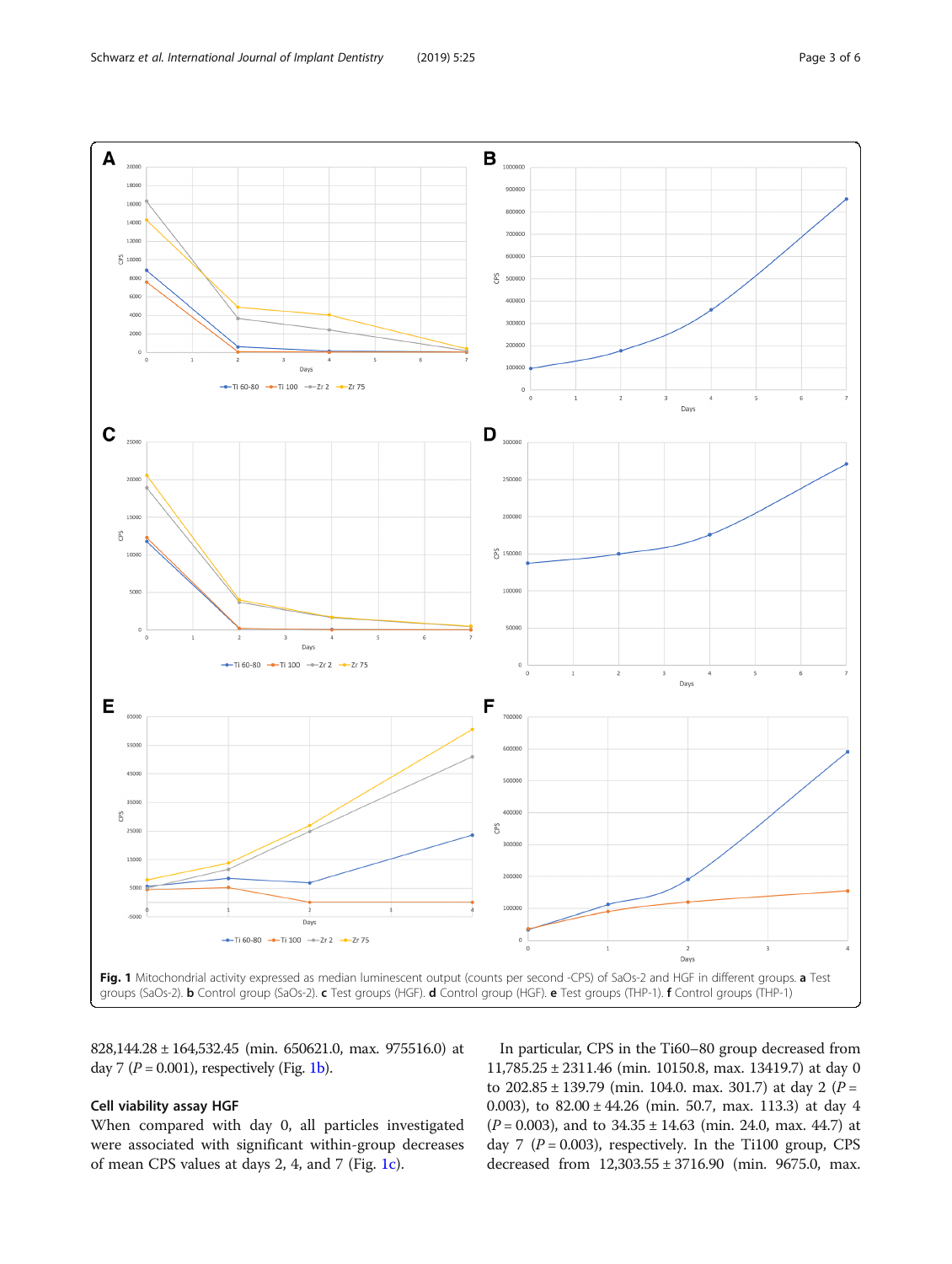<span id="page-2-0"></span>

828,144.28 ± 164,532.45 (min. 650621.0, max. 975516.0) at day 7 ( $P = 0.001$ ), respectively (Fig. 1b).

#### Cell viability assay HGF

When compared with day 0, all particles investigated were associated with significant within-group decreases of mean CPS values at days 2, 4, and 7 (Fig. 1c).

In particular, CPS in the Ti60–80 group decreased from 11,785.25 ± 2311.46 (min. 10150.8, max. 13419.7) at day 0 to  $202.85 \pm 139.79$  (min. 104.0. max. 301.7) at day 2 (P = 0.003), to 82.00 ± 44.26 (min. 50.7, max. 113.3) at day 4  $(P = 0.003)$ , and to  $34.35 \pm 14.63$  (min. 24.0, max. 44.7) at day 7 ( $P = 0.003$ ), respectively. In the Ti100 group, CPS decreased from 12,303.55 ± 3716.90 (min. 9675.0, max.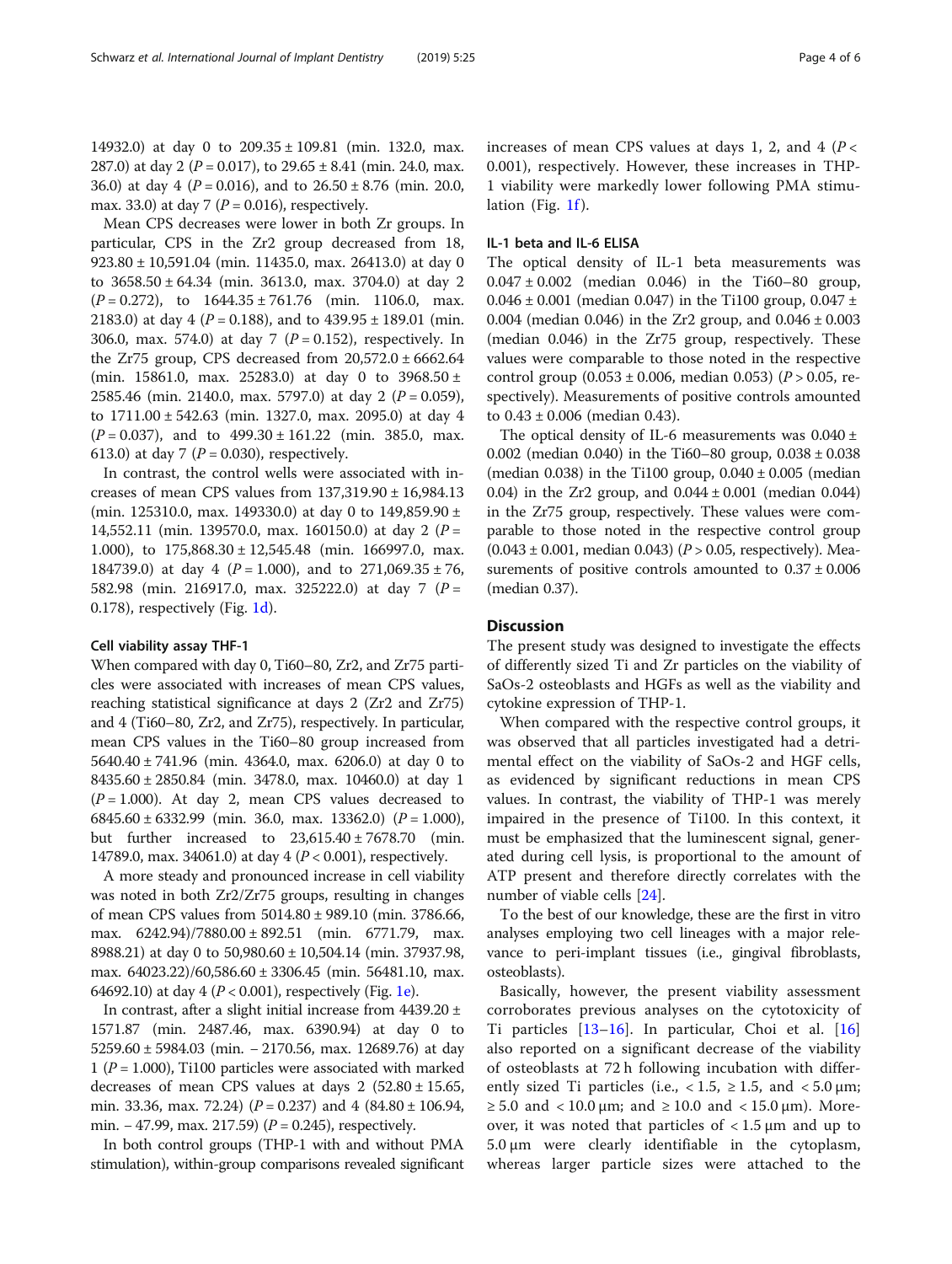14932.0) at day 0 to 209.35 ± 109.81 (min. 132.0, max. 287.0) at day 2 ( $P = 0.017$ ), to 29.65 ± 8.41 (min. 24.0, max. 36.0) at day 4 ( $P = 0.016$ ), and to  $26.50 \pm 8.76$  (min. 20.0, max. 33.0) at day 7 ( $P = 0.016$ ), respectively.

Mean CPS decreases were lower in both Zr groups. In particular, CPS in the Zr2 group decreased from 18, 923.80 ± 10,591.04 (min. 11435.0, max. 26413.0) at day 0 to 3658.50 ± 64.34 (min. 3613.0, max. 3704.0) at day 2  $(P = 0.272)$ , to  $1644.35 \pm 761.76$  (min. 1106.0, max. 2183.0) at day 4 ( $P = 0.188$ ), and to 439.95 ± 189.01 (min. 306.0, max. 574.0) at day 7 ( $P = 0.152$ ), respectively. In the Zr75 group, CPS decreased from  $20,572.0 \pm 6662.64$ (min. 15861.0, max. 25283.0) at day 0 to 3968.50 ± 2585.46 (min. 2140.0, max. 5797.0) at day 2 ( $P = 0.059$ ), to 1711.00 ± 542.63 (min. 1327.0, max. 2095.0) at day 4  $(P = 0.037)$ , and to  $499.30 \pm 161.22$  (min. 385.0, max. 613.0) at day 7 ( $P = 0.030$ ), respectively.

In contrast, the control wells were associated with increases of mean CPS values from 137,319.90 ± 16,984.13 (min. 125310.0, max. 149330.0) at day 0 to 149,859.90 ± 14,552.11 (min. 139570.0, max. 160150.0) at day 2 ( $P =$ 1.000), to  $175,868.30 \pm 12,545.48$  (min. 166997.0, max. 184739.0) at day 4 ( $P = 1.000$ ), and to 271,069.35 ± 76, 582.98 (min. 216917.0, max. 325222.0) at day 7 ( $P =$ 0.178), respectively (Fig. [1d](#page-2-0)).

#### Cell viability assay THF-1

When compared with day 0, Ti60–80, Zr2, and Zr75 particles were associated with increases of mean CPS values, reaching statistical significance at days 2 (Zr2 and Zr75) and 4 (Ti60–80, Zr2, and Zr75), respectively. In particular, mean CPS values in the Ti60–80 group increased from 5640.40 ± 741.96 (min. 4364.0, max. 6206.0) at day 0 to 8435.60 ± 2850.84 (min. 3478.0, max. 10460.0) at day 1  $(P = 1.000)$ . At day 2, mean CPS values decreased to 6845.60 ± 6332.99 (min. 36.0, max. 13362.0)  $(P = 1.000)$ , but further increased to  $23,615.40 \pm 7678.70$  (min. 14789.0, max. 34061.0) at day 4 ( $P < 0.001$ ), respectively.

A more steady and pronounced increase in cell viability was noted in both Zr2/Zr75 groups, resulting in changes of mean CPS values from 5014.80 ± 989.10 (min. 3786.66, max. 6242.94)/7880.00 ± 892.51 (min. 6771.79, max. 8988.21) at day 0 to 50,980.60 ± 10,504.14 (min. 37937.98, max. 64023.22)/60,586.60 ± 3306.45 (min. 56481.10, max. 64692.10) at day 4 ( $P < 0.001$ ), respectively (Fig. [1e\)](#page-2-0).

In contrast, after a slight initial increase from  $4439.20 \pm$ 1571.87 (min. 2487.46, max. 6390.94) at day 0 to 5259.60 ± 5984.03 (min. − 2170.56, max. 12689.76) at day 1 ( $P = 1.000$ ), Ti100 particles were associated with marked decreases of mean CPS values at days  $2$  (52.80  $\pm$  15.65, min. 33.36, max. 72.24)  $(P = 0.237)$  and 4  $(84.80 \pm 106.94,$ min. – 47.99, max. 217.59) ( $P = 0.245$ ), respectively.

In both control groups (THP-1 with and without PMA stimulation), within-group comparisons revealed significant increases of mean CPS values at days 1, 2, and 4 ( $P <$ 0.001), respectively. However, these increases in THP-1 viability were markedly lower following PMA stimulation (Fig. [1f](#page-2-0)).

#### IL-1 beta and IL-6 ELISA

The optical density of IL-1 beta measurements was 0.047  $\pm$  0.002 (median 0.046) in the Ti60–80 group, 0.046  $\pm$  0.001 (median 0.047) in the Ti100 group, 0.047  $\pm$ 0.004 (median 0.046) in the Zr2 group, and  $0.046 \pm 0.003$ (median 0.046) in the Zr75 group, respectively. These values were comparable to those noted in the respective control group  $(0.053 \pm 0.006, \text{ median } 0.053)$   $(P > 0.05, \text{ re-}$ spectively). Measurements of positive controls amounted to  $0.43 \pm 0.006$  (median 0.43).

The optical density of IL-6 measurements was  $0.040 \pm$ 0.002 (median 0.040) in the Ti60–80 group,  $0.038 \pm 0.038$ (median 0.038) in the Ti100 group,  $0.040 \pm 0.005$  (median 0.04) in the Zr2 group, and 0.044 ± 0.001 (median 0.044) in the Zr75 group, respectively. These values were comparable to those noted in the respective control group  $(0.043 \pm 0.001, \text{ median } 0.043)$  ( $P > 0.05, \text{ respectively}$ ). Measurements of positive controls amounted to  $0.37 \pm 0.006$ (median 0.37).

## **Discussion**

The present study was designed to investigate the effects of differently sized Ti and Zr particles on the viability of SaOs-2 osteoblasts and HGFs as well as the viability and cytokine expression of THP-1.

When compared with the respective control groups, it was observed that all particles investigated had a detrimental effect on the viability of SaOs-2 and HGF cells, as evidenced by significant reductions in mean CPS values. In contrast, the viability of THP-1 was merely impaired in the presence of Ti100. In this context, it must be emphasized that the luminescent signal, generated during cell lysis, is proportional to the amount of ATP present and therefore directly correlates with the number of viable cells [\[24](#page-5-0)].

To the best of our knowledge, these are the first in vitro analyses employing two cell lineages with a major relevance to peri-implant tissues (i.e., gingival fibroblasts, osteoblasts).

Basically, however, the present viability assessment corroborates previous analyses on the cytotoxicity of Ti particles [[13](#page-5-0)–[16\]](#page-5-0). In particular, Choi et al. [\[16](#page-5-0)] also reported on a significant decrease of the viability of osteoblasts at 72 h following incubation with differently sized Ti particles (i.e.,  $< 1.5$ ,  $\ge 1.5$ , and  $< 5.0$  µm; ≥ 5.0 and < 10.0 μm; and ≥ 10.0 and < 15.0 μm). Moreover, it was noted that particles of  $< 1.5 \mu m$  and up to 5.0 μm were clearly identifiable in the cytoplasm, whereas larger particle sizes were attached to the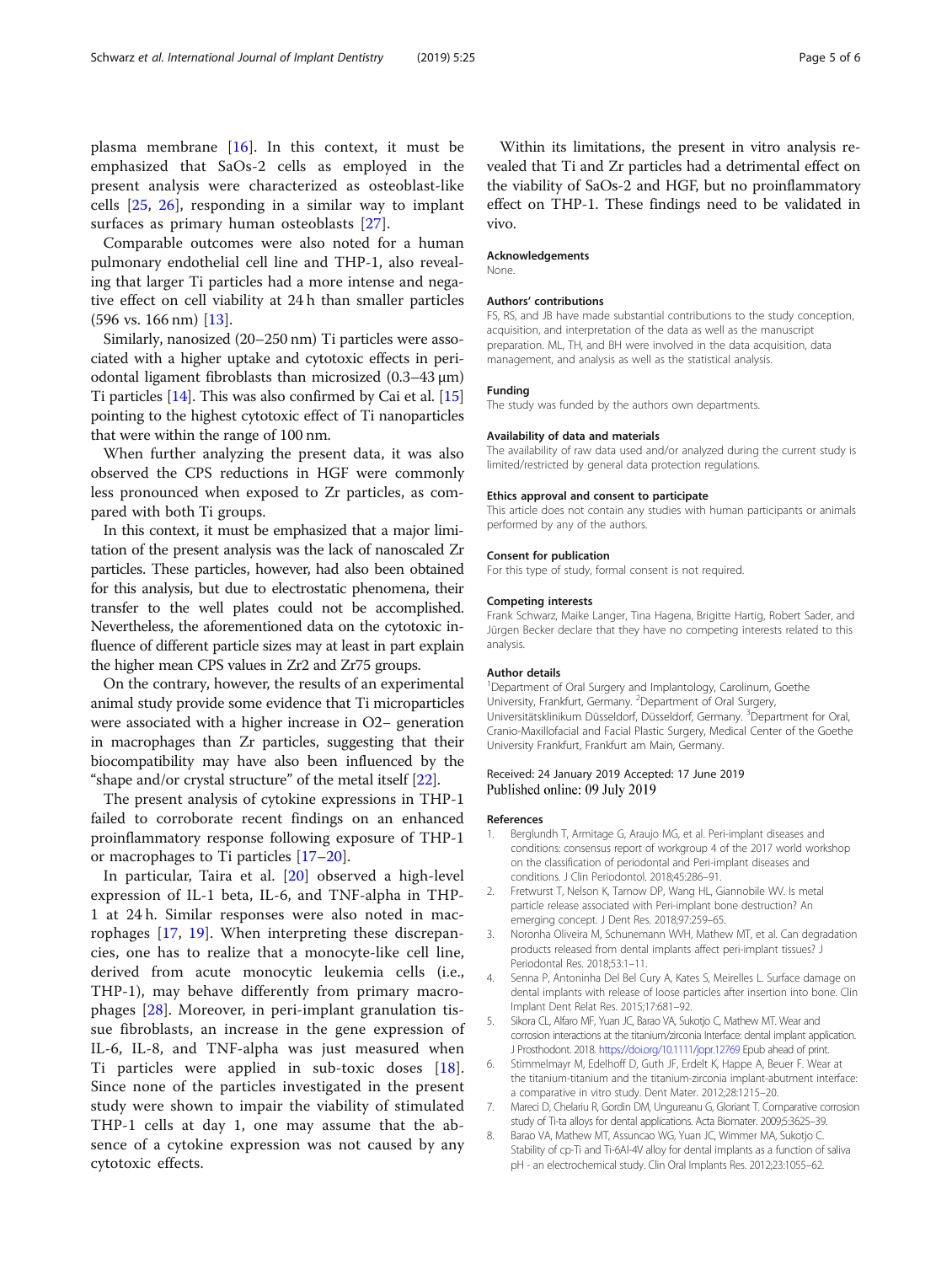<span id="page-4-0"></span>plasma membrane [[16\]](#page-5-0). In this context, it must be emphasized that SaOs-2 cells as employed in the present analysis were characterized as osteoblast-like cells [[25,](#page-5-0) [26](#page-5-0)], responding in a similar way to implant surfaces as primary human osteoblasts [[27\]](#page-5-0).

Comparable outcomes were also noted for a human pulmonary endothelial cell line and THP-1, also revealing that larger Ti particles had a more intense and negative effect on cell viability at 24 h than smaller particles (596 vs. 166 nm) [\[13](#page-5-0)].

Similarly, nanosized (20–250 nm) Ti particles were associated with a higher uptake and cytotoxic effects in periodontal ligament fibroblasts than microsized (0.3–43 μm) Ti particles [\[14](#page-5-0)]. This was also confirmed by Cai et al. [[15](#page-5-0)] pointing to the highest cytotoxic effect of Ti nanoparticles that were within the range of 100 nm.

When further analyzing the present data, it was also observed the CPS reductions in HGF were commonly less pronounced when exposed to Zr particles, as compared with both Ti groups.

In this context, it must be emphasized that a major limitation of the present analysis was the lack of nanoscaled Zr particles. These particles, however, had also been obtained for this analysis, but due to electrostatic phenomena, their transfer to the well plates could not be accomplished. Nevertheless, the aforementioned data on the cytotoxic influence of different particle sizes may at least in part explain the higher mean CPS values in Zr2 and Zr75 groups.

On the contrary, however, the results of an experimental animal study provide some evidence that Ti microparticles were associated with a higher increase in O2− generation in macrophages than Zr particles, suggesting that their biocompatibility may have also been influenced by the "shape and/or crystal structure" of the metal itself [[22](#page-5-0)].

The present analysis of cytokine expressions in THP-1 failed to corroborate recent findings on an enhanced proinflammatory response following exposure of THP-1 or macrophages to Ti particles [[17](#page-5-0)–[20](#page-5-0)].

In particular, Taira et al. [\[20](#page-5-0)] observed a high-level expression of IL-1 beta, IL-6, and TNF-alpha in THP-1 at 24 h. Similar responses were also noted in macrophages [[17,](#page-5-0) [19](#page-5-0)]. When interpreting these discrepancies, one has to realize that a monocyte-like cell line, derived from acute monocytic leukemia cells (i.e., THP-1), may behave differently from primary macrophages [\[28](#page-5-0)]. Moreover, in peri-implant granulation tissue fibroblasts, an increase in the gene expression of IL-6, IL-8, and TNF-alpha was just measured when Ti particles were applied in sub-toxic doses [\[18](#page-5-0)]. Since none of the particles investigated in the present study were shown to impair the viability of stimulated THP-1 cells at day 1, one may assume that the absence of a cytokine expression was not caused by any cytotoxic effects.

Within its limitations, the present in vitro analysis revealed that Ti and Zr particles had a detrimental effect on the viability of SaOs-2 and HGF, but no proinflammatory effect on THP-1. These findings need to be validated in vivo.

#### Acknowledgements

None.

#### Authors' contributions

FS, RS, and JB have made substantial contributions to the study conception, acquisition, and interpretation of the data as well as the manuscript preparation. ML, TH, and BH were involved in the data acquisition, data management, and analysis as well as the statistical analysis.

#### Funding

The study was funded by the authors own departments.

#### Availability of data and materials

The availability of raw data used and/or analyzed during the current study is limited/restricted by general data protection regulations.

#### Ethics approval and consent to participate

This article does not contain any studies with human participants or animals performed by any of the authors.

#### Consent for publication

For this type of study, formal consent is not required.

#### Competing interests

Frank Schwarz, Maike Langer, Tina Hagena, Brigitte Hartig, Robert Sader, and Jürgen Becker declare that they have no competing interests related to this analysis.

#### Author details

<sup>1</sup>Department of Oral Surgery and Implantology, Carolinum, Goethe University, Frankfurt, Germany. <sup>2</sup>Department of Oral Surgery, Universitätsklinikum Düsseldorf, Düsseldorf, Germany. <sup>3</sup>Department for Oral Cranio-Maxillofacial and Facial Plastic Surgery, Medical Center of the Goethe University Frankfurt, Frankfurt am Main, Germany.

#### Received: 24 January 2019 Accepted: 17 June 2019 Published online: 09 July 2019

#### References

- 1. Berglundh T, Armitage G, Araujo MG, et al. Peri-implant diseases and conditions: consensus report of workgroup 4 of the 2017 world workshop on the classification of periodontal and Peri-implant diseases and conditions. J Clin Periodontol. 2018;45:286–91.
- 2. Fretwurst T, Nelson K, Tarnow DP, Wang HL, Giannobile WV. Is metal particle release associated with Peri-implant bone destruction? An emerging concept. J Dent Res. 2018;97:259–65.
- 3. Noronha Oliveira M, Schunemann WVH, Mathew MT, et al. Can degradation products released from dental implants affect peri-implant tissues? J Periodontal Res. 2018;53:1–11.
- 4. Senna P, Antoninha Del Bel Cury A, Kates S, Meirelles L. Surface damage on dental implants with release of loose particles after insertion into bone. Clin Implant Dent Relat Res. 2015;17:681–92.
- 5. Sikora CL, Alfaro MF, Yuan JC, Barao VA, Sukotjo C, Mathew MT. Wear and corrosion interactions at the titanium/zirconia Interface: dental implant application. J Prosthodont. 2018. <https://doi.org/10.1111/jopr.12769> Epub ahead of print.
- Stimmelmayr M, Edelhoff D, Guth JF, Erdelt K, Happe A, Beuer F. Wear at the titanium-titanium and the titanium-zirconia implant-abutment interface: a comparative in vitro study. Dent Mater. 2012;28:1215–20.
- 7. Mareci D, Chelariu R, Gordin DM, Ungureanu G, Gloriant T. Comparative corrosion study of Ti-ta alloys for dental applications. Acta Biomater. 2009;5:3625–39.
- 8. Barao VA, Mathew MT, Assuncao WG, Yuan JC, Wimmer MA, Sukotjo C. Stability of cp-Ti and Ti-6Al-4V alloy for dental implants as a function of saliva pH - an electrochemical study. Clin Oral Implants Res. 2012;23:1055–62.